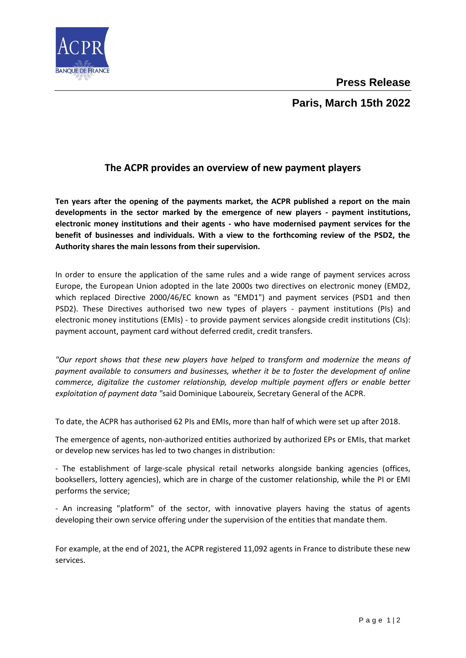

## **Paris, March 15th 2022**

## **The ACPR provides an overview of new payment players**

**Ten years after the opening of the payments market, the ACPR published a report on the main developments in the sector marked by the emergence of new players - payment institutions, electronic money institutions and their agents - who have modernised payment services for the benefit of businesses and individuals. With a view to the forthcoming review of the PSD2, the Authority shares the main lessons from their supervision.**

In order to ensure the application of the same rules and a wide range of payment services across Europe, the European Union adopted in the late 2000s two directives on electronic money (EMD2, which replaced Directive 2000/46/EC known as "EMD1") and payment services (PSD1 and then PSD2). These Directives authorised two new types of players - payment institutions (PIs) and electronic money institutions (EMIs) - to provide payment services alongside credit institutions (CIs): payment account, payment card without deferred credit, credit transfers.

*"Our report shows that these new players have helped to transform and modernize the means of payment available to consumers and businesses, whether it be to foster the development of online commerce, digitalize the customer relationship, develop multiple payment offers or enable better exploitation of payment data "*said Dominique Laboureix, Secretary General of the ACPR.

To date, the ACPR has authorised 62 PIs and EMIs, more than half of which were set up after 2018.

The emergence of agents, non-authorized entities authorized by authorized EPs or EMIs, that market or develop new services has led to two changes in distribution:

- The establishment of large-scale physical retail networks alongside banking agencies (offices, booksellers, lottery agencies), which are in charge of the customer relationship, while the PI or EMI performs the service;

- An increasing "platform" of the sector, with innovative players having the status of agents developing their own service offering under the supervision of the entities that mandate them.

For example, at the end of 2021, the ACPR registered 11,092 agents in France to distribute these new services.